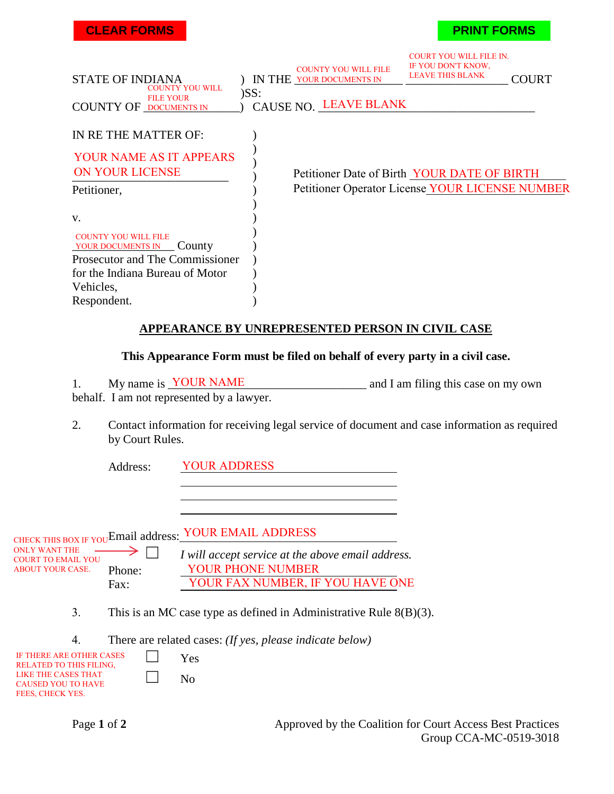| <b>CLEAR FORMS</b> |  |
|--------------------|--|

### **PRINT FORMS**

| <b>STATE OF INDIANA</b><br><b>COUNTY YOU WILL</b>          |         | <b>COUNTY YOU WILL FILE</b><br>IN THE YOUR DOCUMENTS IN | <b>COURT YOU WILL FILE IN.</b><br>IF YOU DON'T KNOW,<br><b>LEAVE THIS BLANK</b> | <b>COURT</b> |
|------------------------------------------------------------|---------|---------------------------------------------------------|---------------------------------------------------------------------------------|--------------|
| <b>FILE YOUR</b><br><b>COUNTY OF DOCUMENTS IN</b>          | $)$ SS: | CAUSE NO. LEAVE BLANK                                   |                                                                                 |              |
| IN RE THE MATTER OF:                                       |         |                                                         |                                                                                 |              |
| YOUR NAME AS IT APPEARS<br>ON YOUR LICENSE                 |         | Petitioner Date of Birth YOUR DATE OF BIRTH             |                                                                                 |              |
| Petitioner,                                                |         | Petitioner Operator License YOUR LICENSE NUMBER         |                                                                                 |              |
| V.                                                         |         |                                                         |                                                                                 |              |
| <b>COUNTY YOU WILL FILE</b><br>YOUR DOCUMENTS IN<br>County |         |                                                         |                                                                                 |              |
| Prosecutor and The Commissioner                            |         |                                                         |                                                                                 |              |
| for the Indiana Bureau of Motor                            |         |                                                         |                                                                                 |              |
| Vehicles,                                                  |         |                                                         |                                                                                 |              |
| Respondent.                                                |         |                                                         |                                                                                 |              |

### **APPEARANCE BY UNREPRESENTED PERSON IN CIVIL CASE**

#### **This Appearance Form must be filed on behalf of every party in a civil case.**

1. My name is **YOUR NAME** and I am filing this case on my own behalf. I am not represented by a lawyer.

2. Contact information for receiving legal service of document and case information as required by Court Rules.

Address: YOUR ADDRESS

CHECK THIS BOX IF YOU Email address: YOUR EMAIL ADDRESS

ONLY WANT THE  $\rightarrow$ COURT TO EMAIL YOU Phone: Fax:

☐ *I will accept service at the above email address.* YOUR PHONE NUMBER YOUR FAX NUMBER, IF YOU HAVE ONE

- 3. This is an MC case type as defined in Administrative Rule 8(B)(3).
- 4. There are related cases: *(If yes, please indicate below)*

| <b>IF THERE ARE OTHER CASES</b><br><b>RELATED TO THIS FILING.</b> | Yes |
|-------------------------------------------------------------------|-----|
| LIKE THE CASES THAT<br><b>CAUSED YOU TO HAVE</b>                  | No  |
| FEES, CHECK YES.                                                  |     |

Page 1 of 2 Approved by the Coalition for Court Access Best Practices Group CCA-MC-0519-3018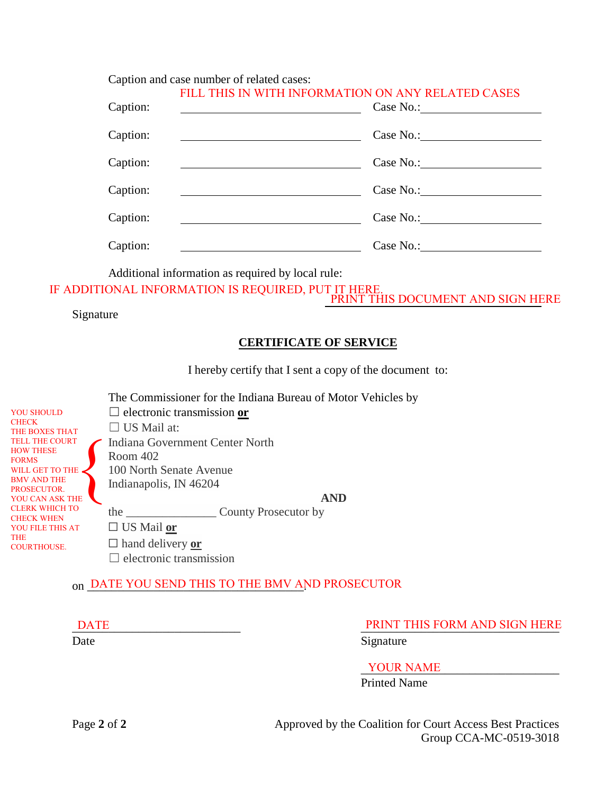Caption and case number of related cases:

| Caption: | FILL THIS IN WITH INFORMATION ON ANY RELATED CASES |
|----------|----------------------------------------------------|
| Caption: |                                                    |
| Caption: |                                                    |
| Caption: | Case No.:                                          |
| Caption: | Case No.:                                          |
| Caption: | Case No.:                                          |

Additional information as required by local rule:

IF ADDITIONAL INFORMATION IS REQUIRED, PUT IT HERE.

PRINT THIS DOCUMENT AND SIGN HERE

### Signature

# **CERTIFICATE OF SERVICE**

I hereby certify that I sent a copy of the document to:

The Commissioner for the Indiana Bureau of Motor Vehicles by

YOU SHOULD CHECK THE BOXES THAT TELL THE COURT HOW THESE FORMS WILL GET TO THE BMV AND THE PROSECUTOR. YOU CAN ASK THE CLERK WHICH TO CHECK WHEN YOU FILE THIS AT THE COURTHOUSE.  $\left\{\begin{matrix} \mathbf{F} \ \mathbf{F} \ \mathbf{F} \end{matrix}\right\}$ 

☐ electronic transmission **or** □ US Mail at: Indiana Government Center North Room 402 100 North Senate Avenue Indianapolis, IN 46204 the \_\_\_\_\_\_\_\_\_\_\_\_\_\_\_ County Prosecutor by

**AND**

☐ US Mail **or**

☐ hand delivery **or**  $\Box$  electronic transmission

# on \_DATE YOU SEND THIS TO THE BMV AND PROSECUTOR

# DATE PRINT THIS FORM AND SIGN HERE

Date Signature

 $\_$  YOUR NAME

Printed Name

Page 2 of 2 Approved by the Coalition for Court Access Best Practices Group CCA-MC-0519-3018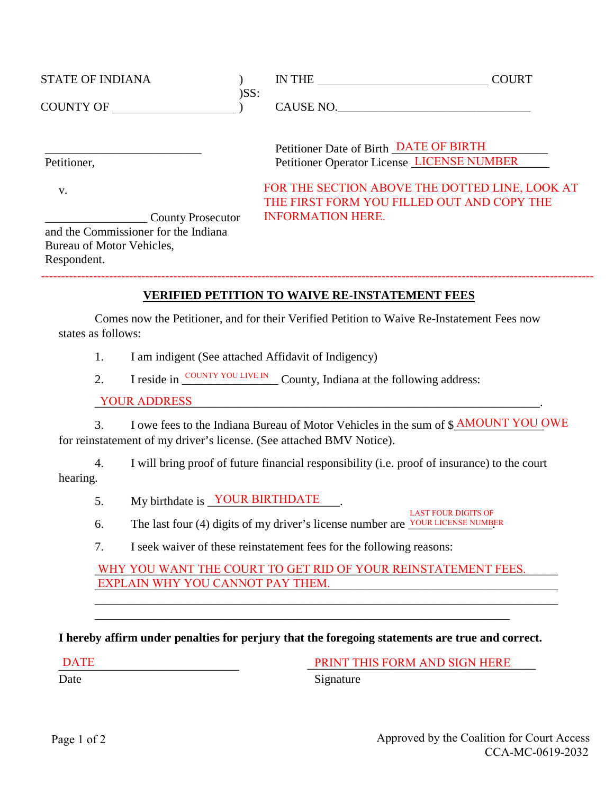| <b>STATE OF INDIANA</b>                                                                                      |         | IN THE                                                                                       | <b>COURT</b> |
|--------------------------------------------------------------------------------------------------------------|---------|----------------------------------------------------------------------------------------------|--------------|
| <b>COUNTY OF</b>                                                                                             | $)$ SS: | CAUSE NO.                                                                                    |              |
| Petitioner,                                                                                                  |         | Petitioner Date of Birth DATE OF BIRTH<br>Petitioner Operator License LICENSE NUMBER         |              |
| V.                                                                                                           |         | FOR THE SECTION ABOVE THE DOTTED LINE, LOOK AT<br>THE FIRST FORM YOU FILLED OUT AND COPY THE |              |
| <b>County Prosecutor</b><br>and the Commissioner for the Indiana<br>Bureau of Motor Vehicles,<br>Respondent. |         | <b>INFORMATION HERE.</b>                                                                     |              |
|                                                                                                              |         |                                                                                              |              |

### **VERIFIED PETITION TO WAIVE RE-INSTATEMENT FEES**

Comes now the Petitioner, and for their Verified Petition to Waive Re-Instatement Fees now states as follows:

- 1. I am indigent (See attached Affidavit of Indigency)
- 2. I reside in  $\frac{\text{COUNTY VOU LIVE IN}}{\text{County}}$  County, Indiana at the following address:

\_\_\_\_\_\_\_\_\_\_\_\_\_\_\_\_\_\_\_\_\_\_\_\_\_\_\_\_\_\_\_\_\_\_\_\_\_\_\_\_\_\_\_\_\_\_\_\_\_\_\_\_\_\_\_\_\_\_\_\_\_\_\_\_\_\_\_\_\_\_\_\_\_\_. YOUR ADDRESS

3. I owe fees to the Indiana Bureau of Motor Vehicles in the sum of \$**AMOUNT YOU OWE** for reinstatement of my driver's license. (See attached BMV Notice).

4. I will bring proof of future financial responsibility (i.e. proof of insurance) to the court hearing.

5. My birthdate is YOUR BIRTHDATE

- 6. The last four (4) digits of my driver's license number are  $\frac{YOUN LICENSE NUMBER}{Y}$ LAST FOUR DIGITS OF
- 7. I seek waiver of these reinstatement fees for the following reasons:

WHY YOU WANT THE COURT TO GET RID OF YOUR REINSTATEMENT FEES. \_\_\_\_\_\_\_\_\_\_\_\_\_\_\_\_\_\_\_\_\_\_\_\_\_\_\_\_\_\_\_\_\_\_\_\_\_\_\_\_\_\_\_\_\_\_\_\_\_\_\_\_\_\_\_\_\_\_\_\_\_\_\_\_\_\_\_\_\_\_\_\_\_\_\_\_\_ EXPLAIN WHY YOU CANNOT PAY THEM.

\_\_\_\_\_\_\_\_\_\_\_\_\_\_\_\_\_\_\_\_\_\_\_\_\_\_\_\_\_\_\_\_\_\_\_\_\_\_\_\_\_\_\_\_\_\_\_\_\_\_\_\_\_\_\_\_\_\_\_\_\_\_\_\_\_\_\_\_\_\_\_\_\_\_\_\_\_

#### **I hereby affirm under penalties for perjury that the foregoing statements are true and correct.**

\_\_\_\_\_\_\_\_\_\_\_\_\_\_\_\_\_\_\_\_\_\_\_\_\_\_\_\_\_\_\_\_\_\_\_\_\_\_\_\_\_\_\_\_\_\_\_\_\_\_\_\_\_\_\_\_\_\_\_\_\_\_\_\_\_\_\_\_\_

 $\overline{\text{DATE}}$ 

PRINT THIS FORM AND SIGN HERE

Date

Signature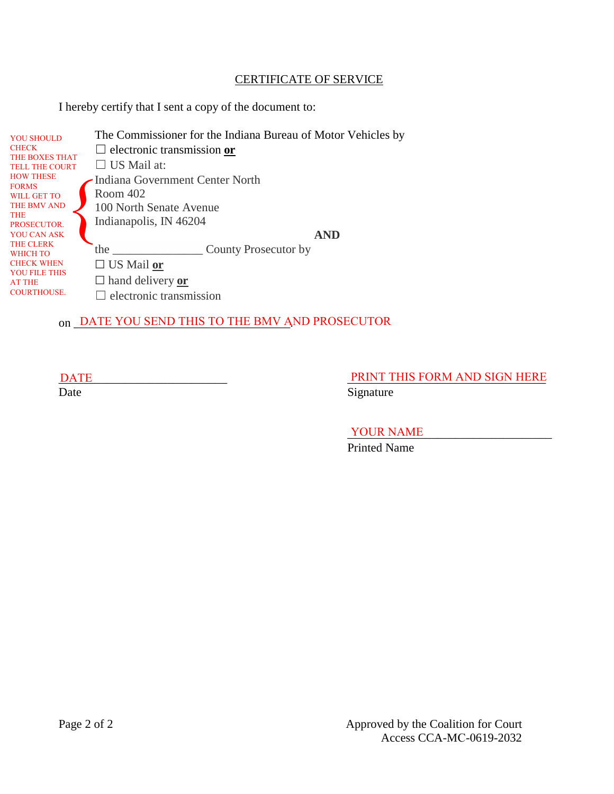### CERTIFICATE OF SERVICE

I hereby certify that I sent a copy of the document to:

| <b>YOU SHOULD</b><br><b>CHECK</b><br>THE BOXES THAT | The Commissioner for the Indiana Bureau of Motor Vehicles by<br>$\Box$ electronic transmission or |  |  |  |
|-----------------------------------------------------|---------------------------------------------------------------------------------------------------|--|--|--|
| <b>TELL THE COURT</b>                               | $\Box$ US Mail at:                                                                                |  |  |  |
| <b>HOW THESE</b><br><b>FORMS</b><br>WILL GET TO     | Indiana Government Center North<br>Room 402                                                       |  |  |  |
| THE BMV AND<br><b>THE</b>                           | 100 North Senate Avenue<br>Indianapolis, IN 46204                                                 |  |  |  |
| PROSECUTOR.<br>YOU CAN ASK<br>THE CLERK             | <b>AND</b>                                                                                        |  |  |  |
| WHICH TO                                            | County Prosecutor by<br>the                                                                       |  |  |  |
| <b>CHECK WHEN</b>                                   | $\Box$ US Mail or                                                                                 |  |  |  |
| <b>YOU FILE THIS</b><br><b>AT THE</b>               | $\Box$ hand delivery or                                                                           |  |  |  |
| <b>COURTHOUSE.</b>                                  | electronic transmission                                                                           |  |  |  |

# on \_DATE YOU SEND THIS TO THE BMV AND PROSECUTOR

DATE PRINT THIS FORM AND SIGN HERE

Date Signature

YOUR NAME

Printed Name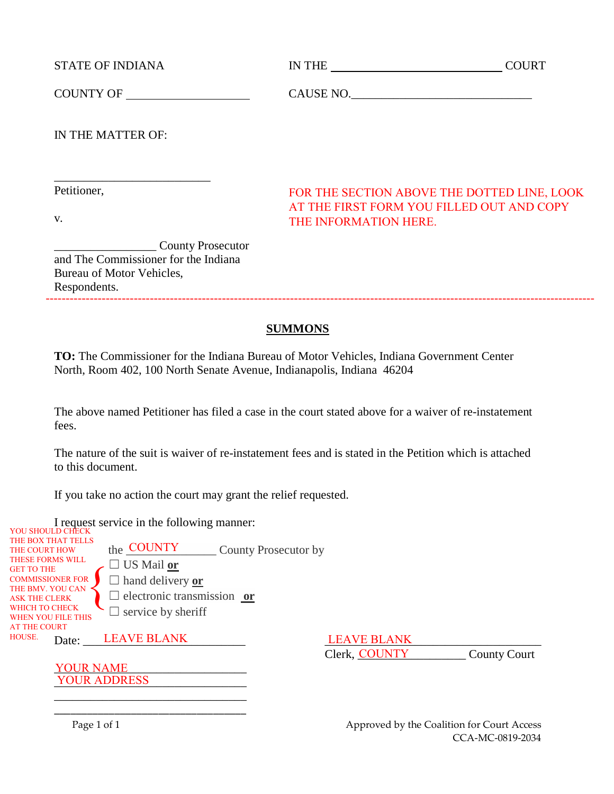STATE OF INDIANA IN THE INDIANA IN THE COURT

\_\_\_\_\_\_\_\_\_\_\_\_\_\_\_\_\_\_\_\_\_\_\_\_\_\_

COUNTY OF CAUSE NO.

IN THE MATTER OF:

Petitioner,

v.

FOR THE SECTION ABOVE THE DOTTED LINE, LOOK AT THE FIRST FORM YOU FILLED OUT AND COPY THE INFORMATION HERE.

\_\_\_\_\_\_\_\_\_\_\_\_\_\_\_\_\_ County Prosecutor and The Commissioner for the Indiana Bureau of Motor Vehicles, Respondents.

# **SUMMONS**

**TO:** The Commissioner for the Indiana Bureau of Motor Vehicles, Indiana Government Center North, Room 402, 100 North Senate Avenue, Indianapolis, Indiana 46204

The above named Petitioner has filed a case in the court stated above for a waiver of re-instatement fees.

The nature of the suit is waiver of re-instatement fees and is stated in the Petition which is attached to this document.

If you take no action the court may grant the relief requested.

I request service in the following manner: YOU SHOULD CHECK

the **COUNTY** County Prosecutor by ☐ US Mail **or** ☐ hand delivery **or** ☐ electronic transmission **or**  $\Box$  service by sheriff Date: LEAVE BLANK LEAVE BLANK THE BOX THAT TELLS THE COURT HOW THESE FORMS WILL GET TO THE COMMISSIONER FOR THE BMV. YOU CAN ASK THE CLERK WHICH TO CHECK WHEN YOU FILE THIS AT THE COURT HOUSE.  $\sum_{i}^{R}$ LEAVE BLANK

YOUR NAME \_\_\_\_\_\_\_\_\_\_\_\_\_\_\_\_\_\_\_\_\_\_\_\_\_\_\_\_\_\_\_\_ YOUR ADDRESS

Clerk, COUNTY County Court

\_\_\_\_\_\_\_\_\_\_\_\_\_\_\_\_\_\_\_\_\_\_\_\_\_\_\_\_\_\_\_\_ \_\_\_\_\_\_\_\_\_\_\_\_\_\_\_\_\_\_\_\_\_\_\_\_\_\_\_\_\_\_\_\_\_\_\_

Page 1 of 1 **Page 1** of 1 CCA-MC-0819-2034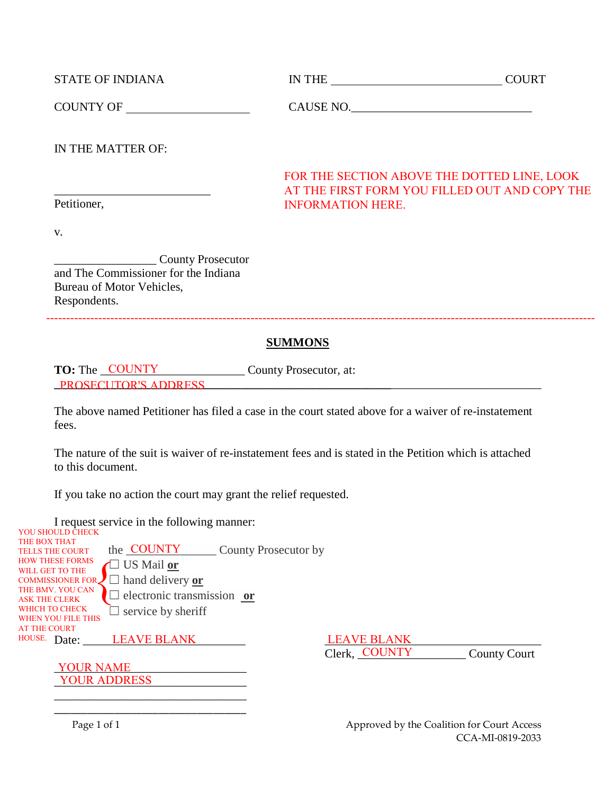| <b>STATE OF INDIANA</b> | <b>IN THE</b> | COURT |
|-------------------------|---------------|-------|
|                         |               |       |

COUNTY OF CAUSE NO.\_\_\_\_\_\_\_\_\_\_\_\_\_\_\_\_\_\_\_\_\_\_\_\_\_\_\_\_\_\_

IN THE MATTER OF:

\_\_\_\_\_\_\_\_\_\_\_\_\_\_\_\_\_\_\_\_\_\_\_\_\_\_

# FOR THE SECTION ABOVE THE DOTTED LINE, LOOK AT THE FIRST FORM YOU FILLED OUT AND COPY THE INFORMATION HERE.

Petitioner,

v.

\_\_\_\_\_\_\_\_\_\_\_\_\_\_\_\_\_ County Prosecutor and The Commissioner for the Indiana Bureau of Motor Vehicles, Respondents.

# **SUMMONS**

-----------------------------------------------------------------------------------------------------------------------------------------

# **TO:** The <u>COUNTY</u> County Prosecutor, at: **\_\_\_\_\_\_\_\_\_\_\_\_\_\_\_\_\_\_\_\_\_\_\_\_\_\_\_\_\_\_\_\_\_\_\_\_\_\_\_\_\_\_\_\_\_\_\_\_\_\_\_\_\_\_\_\_**\_\_\_\_\_\_\_\_\_\_\_\_\_\_\_\_\_\_\_\_\_\_\_\_\_ PROSECUTOR'S ADDRESS

The above named Petitioner has filed a case in the court stated above for a waiver of re-instatement fees.

The nature of the suit is waiver of re-instatement fees and is stated in the Petition which is attached to this document.

If you take no action the court may grant the relief requested.

I request service in the following manner:  $V$ OU SHOULD CHECK

> \_\_\_\_\_\_\_\_\_\_\_\_\_\_\_\_\_\_\_\_\_\_\_\_\_\_\_\_\_\_\_\_ \_\_\_\_\_\_\_\_\_\_\_\_\_\_\_\_\_\_\_\_\_\_\_\_\_\_\_\_\_\_\_\_\_\_\_

| TOUTH DESIGNATION OF THE SAME |                            |                      |                         |                     |
|-------------------------------|----------------------------|----------------------|-------------------------|---------------------|
| THE BOX THAT                  |                            |                      |                         |                     |
| <b>TELLS THE COURT</b>        | the COUNTY                 | County Prosecutor by |                         |                     |
| <b>HOW THESE FORMS</b>        | $\Box$ US Mail or          |                      |                         |                     |
| WILL GET TO THE               |                            |                      |                         |                     |
| <b>COMMISSIONER FOR.</b>      | $\Box$ hand delivery or    |                      |                         |                     |
| THE BMV. YOU CAN              |                            |                      |                         |                     |
| ASK THE CLERK                 | electronic transmission or |                      |                         |                     |
| WHICH TO CHECK                | $\Box$ service by sheriff  |                      |                         |                     |
| <b>WHEN YOU FILE THIS</b>     |                            |                      |                         |                     |
| <b>AT THE COURT</b>           |                            |                      |                         |                     |
| HOUSE.<br>Date:               | <b>LEAVE BLANK</b>         |                      | <b>LEAVE BLANK</b>      |                     |
|                               |                            |                      |                         |                     |
|                               |                            |                      | <b>COUNTY</b><br>Clerk, | <b>County Court</b> |

Clerk, COUNTY County Court **COUNTY** 

YOUR NAME \_\_\_\_\_\_\_\_\_\_\_\_\_\_\_\_\_\_\_\_\_\_\_\_\_\_\_\_\_\_\_\_ YOUR ADDRESS

Page 1 of 1 Approved by the Coalition for Court Access CCA-MI-0819-2033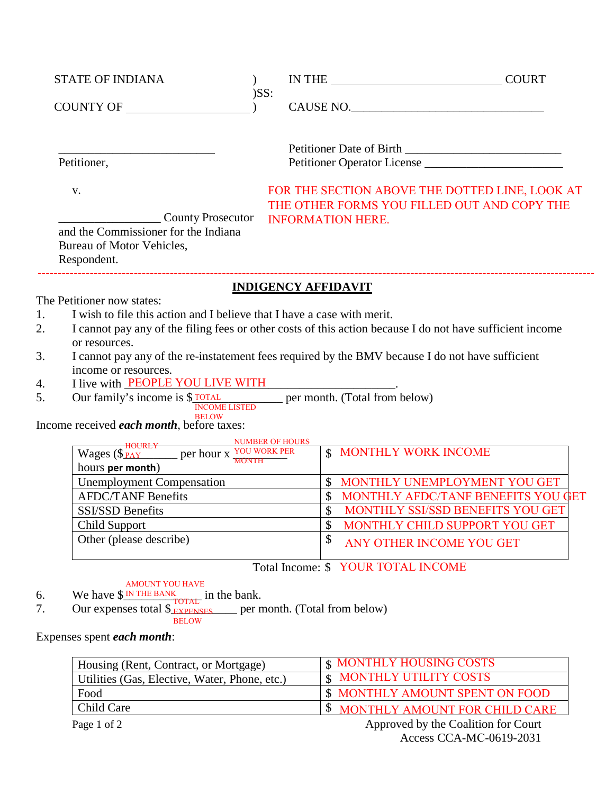| <b>STATE OF INDIANA</b>                                                                                                                                                                                                                                                                                                                                                                                                                                                                                                                                        | $)$ SS: |                            | IN THE COURT                       |                                                                                               |
|----------------------------------------------------------------------------------------------------------------------------------------------------------------------------------------------------------------------------------------------------------------------------------------------------------------------------------------------------------------------------------------------------------------------------------------------------------------------------------------------------------------------------------------------------------------|---------|----------------------------|------------------------------------|-----------------------------------------------------------------------------------------------|
| COUNTY OF                                                                                                                                                                                                                                                                                                                                                                                                                                                                                                                                                      |         |                            |                                    |                                                                                               |
|                                                                                                                                                                                                                                                                                                                                                                                                                                                                                                                                                                |         |                            |                                    |                                                                                               |
| Petitioner,                                                                                                                                                                                                                                                                                                                                                                                                                                                                                                                                                    |         |                            |                                    | Petitioner Operator License                                                                   |
| V.<br><b>County Prosecutor</b>                                                                                                                                                                                                                                                                                                                                                                                                                                                                                                                                 |         |                            | <b>INFORMATION HERE.</b>           | FOR THE SECTION ABOVE THE DOTTED LINE, LOOK AT<br>THE OTHER FORMS YOU FILLED OUT AND COPY THE |
| and the Commissioner for the Indiana<br>Bureau of Motor Vehicles,<br>Respondent.                                                                                                                                                                                                                                                                                                                                                                                                                                                                               |         |                            |                                    |                                                                                               |
|                                                                                                                                                                                                                                                                                                                                                                                                                                                                                                                                                                |         | <b>INDIGENCY AFFIDAVIT</b> |                                    |                                                                                               |
| I wish to file this action and I believe that I have a case with merit.<br>1.<br>I cannot pay any of the filing fees or other costs of this action because I do not have sufficient income<br>2.<br>or resources.<br>3.<br>I cannot pay any of the re-instatement fees required by the BMV because I do not have sufficient<br>income or resources.<br>I live with <b>PEOPLE YOU LIVE WITH</b><br>4.<br>Our family's income is \$ $\frac{1}{N}$ TOTAL per month. (Total from below)<br>5.<br><b>BELOW</b><br>Income received <i>each month</i> , before taxes: |         |                            |                                    |                                                                                               |
| Wages (\$ $\frac{\text{HOURLY}}{\text{Moges (s_{PAY}})}$ per hour x YOU WORK PER<br>hours per month)                                                                                                                                                                                                                                                                                                                                                                                                                                                           |         |                            | <b>\$ MONTHLY WORK INCOME</b>      |                                                                                               |
| <b>Unemployment Compensation</b>                                                                                                                                                                                                                                                                                                                                                                                                                                                                                                                               |         |                            |                                    | \$ MONTHLY UNEMPLOYMENT YOU GET                                                               |
| <b>AFDC/TANF Benefits</b>                                                                                                                                                                                                                                                                                                                                                                                                                                                                                                                                      |         | $\boldsymbol{\mathsf{S}}$  |                                    | MONTHLY AFDC/TANF BENEFITS YOU GET                                                            |
| <b>SSI/SSD Benefits</b>                                                                                                                                                                                                                                                                                                                                                                                                                                                                                                                                        |         | $\mathbf{\hat{S}}$         |                                    | MONTHLY SSI/SSD BENEFITS YOU GET                                                              |
| Child Support                                                                                                                                                                                                                                                                                                                                                                                                                                                                                                                                                  |         | $\overline{\$}$            |                                    | MONTHLY CHILD SUPPORT YOU GET                                                                 |
| Other (please describe)                                                                                                                                                                                                                                                                                                                                                                                                                                                                                                                                        |         | \$                         | ANY OTHER INCOME YOU GET           |                                                                                               |
|                                                                                                                                                                                                                                                                                                                                                                                                                                                                                                                                                                |         |                            | Total Income: \$ YOUR TOTAL INCOME |                                                                                               |
| <b>AMOUNT YOU HAVE</b><br>We have $$N$ <sup>IN THE BANK</sup> in<br>Our expenses total $$$ <sub>EXPENSES</sub><br>6.<br>in the bank.                                                                                                                                                                                                                                                                                                                                                                                                                           |         |                            |                                    |                                                                                               |
| 7.<br><b>BELOW</b>                                                                                                                                                                                                                                                                                                                                                                                                                                                                                                                                             |         |                            | per month. (Total from below)      |                                                                                               |
| Expenses spent each month:                                                                                                                                                                                                                                                                                                                                                                                                                                                                                                                                     |         |                            |                                    |                                                                                               |
|                                                                                                                                                                                                                                                                                                                                                                                                                                                                                                                                                                |         |                            |                                    |                                                                                               |

| Housing (Rent, Contract, or Mortgage)         | <b>S MONTHLY HOUSING COSTS</b>          |
|-----------------------------------------------|-----------------------------------------|
| Utilities (Gas, Elective, Water, Phone, etc.) | <b>S MONTHLY UTILITY COSTS</b>          |
| Food                                          | <b>\$ MONTHLY AMOUNT SPENT ON FOOD</b>  |
| Child Care                                    | <b>\$ MONTHLY AMOUNT FOR CHILD CARE</b> |
| Page 1 of 2                                   | Approved by the Coalition for Court     |

Access CCA-MC-0619-2031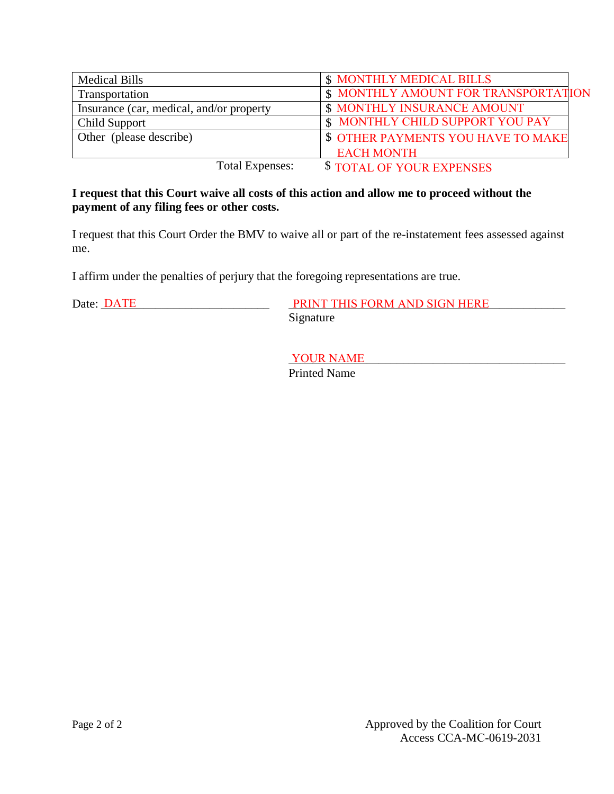| <b>Medical Bills</b>                     | <b>\$ MONTHLY MEDICAL BILLS</b>             |
|------------------------------------------|---------------------------------------------|
| Transportation                           | <b>\$ MONTHLY AMOUNT FOR TRANSPORTATION</b> |
| Insurance (car, medical, and/or property | <b>\$ MONTHLY INSURANCE AMOUNT</b>          |
| Child Support                            | \$ MONTHLY CHILD SUPPORT YOU PAY            |
| Other (please describe)                  | <b>\$ OTHER PAYMENTS YOU HAVE TO MAKE</b>   |
|                                          | <b>EACH MONTH</b>                           |
| <b>Total Expenses:</b>                   | \$TOTAL OF YOUR EXPENSES                    |

### **I request that this Court waive all costs of this action and allow me to proceed without the payment of any filing fees or other costs.**

I request that this Court Order the BMV to waive all or part of the re-instatement fees assessed against me.

I affirm under the penalties of perjury that the foregoing representations are true.

Date: <u>DATE PRINT THIS FORM AND SIGN HERE</u> Signature

> YOUR NAME Printed Name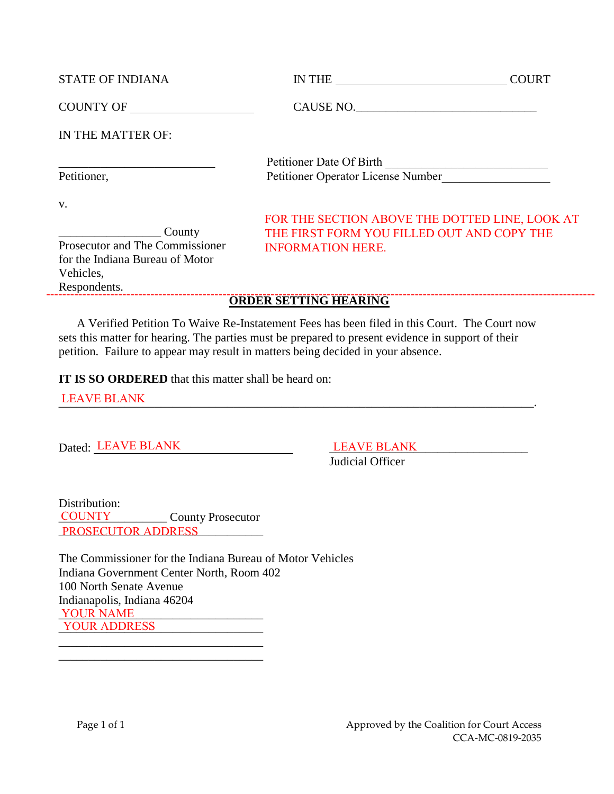| <b>STATE OF INDIANA</b>                                                                                                                                                                                                        | IN THE<br><b>COURT</b>                                                    |
|--------------------------------------------------------------------------------------------------------------------------------------------------------------------------------------------------------------------------------|---------------------------------------------------------------------------|
| COUNTY OF THE PRODUCE OF THE PRODUCE OF THE PRODUCE OF THE PRODUCE OF THE PRODUCE OF THE PRODUCE OF THE PRODUCE OF THE PRODUCE OF THE PRODUCE OF THE PRODUCE OF THE PRODUCE OF THE PRODUCE OF THE PRODUCE OF THE PRODUCE OF TH | CAUSE NO.                                                                 |
| IN THE MATTER OF:                                                                                                                                                                                                              |                                                                           |
|                                                                                                                                                                                                                                | Petitioner Date Of Birth<br><u> 1980 - Andrea Andrew Maria (h. 1980).</u> |
| Petitioner,                                                                                                                                                                                                                    | Petitioner Operator License Number                                        |
| V.                                                                                                                                                                                                                             |                                                                           |
|                                                                                                                                                                                                                                | FOR THE SECTION ABOVE THE DOTTED LINE, LOOK AT                            |
| County                                                                                                                                                                                                                         | THE FIRST FORM YOU FILLED OUT AND COPY THE                                |
| Prosecutor and The Commissioner                                                                                                                                                                                                | <b>INFORMATION HERE.</b>                                                  |
| for the Indiana Bureau of Motor                                                                                                                                                                                                |                                                                           |
| Vehicles,                                                                                                                                                                                                                      |                                                                           |
| Respondents.                                                                                                                                                                                                                   |                                                                           |

# **ORDER SETTING HEARING** -----------------------------------------------------------------------------------------------------------------------------------------

A Verified Petition To Waive Re-Instatement Fees has been filed in this Court. The Court now sets this matter for hearing. The parties must be prepared to present evidence in support of their petition. Failure to appear may result in matters being decided in your absence.

**IT IS SO ORDERED** that this matter shall be heard on:

LEAVE BLANK LEAVE BLANK

Dated: LEAVE BLANK LEAVE BLANK LEAVE BLANK

Judicial Officer

Distribution: \_\_\_\_\_\_\_\_\_\_\_\_\_\_\_\_\_\_ County Prosecutor PROSECUTOR ADDRESS COUNTY

\_\_\_\_\_\_\_\_\_\_\_\_\_\_\_\_\_\_\_\_\_\_\_\_\_\_\_\_\_\_\_\_\_\_ \_\_\_\_\_\_\_\_\_\_\_\_\_\_\_\_\_\_\_\_\_\_\_\_\_\_\_\_\_\_\_\_\_\_

The Commissioner for the Indiana Bureau of Motor Vehicles Indiana Government Center North, Room 402 100 North Senate Avenue Indianapolis, Indiana 46204 YOUR NAME \_\_\_\_\_\_\_\_\_\_\_\_\_\_\_\_\_\_\_\_\_\_\_\_\_\_\_\_\_\_\_\_\_\_ YOUR ADDRESS